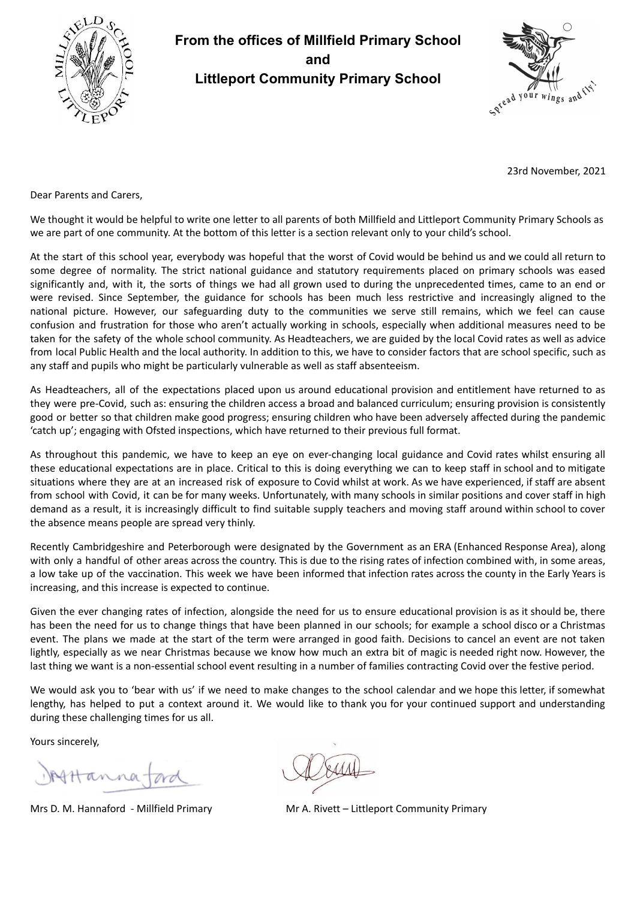

## **From the offices of Millfield Primary School and Littleport Community Primary School**



23rd November, 2021

Dear Parents and Carers,

We thought it would be helpful to write one letter to all parents of both Millfield and Littleport Community Primary Schools as we are part of one community. At the bottom of this letter is a section relevant only to your child's school.

At the start of this school year, everybody was hopeful that the worst of Covid would be behind us and we could all return to some degree of normality. The strict national guidance and statutory requirements placed on primary schools was eased significantly and, with it, the sorts of things we had all grown used to during the unprecedented times, came to an end or were revised. Since September, the guidance for schools has been much less restrictive and increasingly aligned to the national picture. However, our safeguarding duty to the communities we serve still remains, which we feel can cause confusion and frustration for those who aren't actually working in schools, especially when additional measures need to be taken for the safety of the whole school community. As Headteachers, we are guided by the local Covid rates as well as advice from local Public Health and the local authority. In addition to this, we have to consider factors that are school specific, such as any staff and pupils who might be particularly vulnerable as well as staff absenteeism.

As Headteachers, all of the expectations placed upon us around educational provision and entitlement have returned to as they were pre-Covid, such as: ensuring the children access a broad and balanced curriculum; ensuring provision is consistently good or better so that children make good progress; ensuring children who have been adversely affected during the pandemic 'catch up'; engaging with Ofsted inspections, which have returned to their previous full format.

As throughout this pandemic, we have to keep an eye on ever-changing local guidance and Covid rates whilst ensuring all these educational expectations are in place. Critical to this is doing everything we can to keep staff in school and to mitigate situations where they are at an increased risk of exposure to Covid whilst at work. As we have experienced, if staff are absent from school with Covid, it can be for many weeks. Unfortunately, with many schools in similar positions and cover staff in high demand as a result, it is increasingly difficult to find suitable supply teachers and moving staff around within school to cover the absence means people are spread very thinly.

Recently Cambridgeshire and Peterborough were designated by the Government as an ERA (Enhanced Response Area), along with only a handful of other areas across the country. This is due to the rising rates of infection combined with, in some areas, a low take up of the vaccination. This week we have been informed that infection rates across the county in the Early Years is increasing, and this increase is expected to continue.

Given the ever changing rates of infection, alongside the need for us to ensure educational provision is as it should be, there has been the need for us to change things that have been planned in our schools; for example a school disco or a Christmas event. The plans we made at the start of the term were arranged in good faith. Decisions to cancel an event are not taken lightly, especially as we near Christmas because we know how much an extra bit of magic is needed right now. However, the last thing we want is a non-essential school event resulting in a number of families contracting Covid over the festive period.

We would ask you to 'bear with us' if we need to make changes to the school calendar and we hope this letter, if somewhat lengthy, has helped to put a context around it. We would like to thank you for your continued support and understanding during these challenging times for us all.

Yours sincerely,

Attanna

Mrs D. M. Hannaford - Millfield Primary Mr A. Rivett – Littleport Community Primary